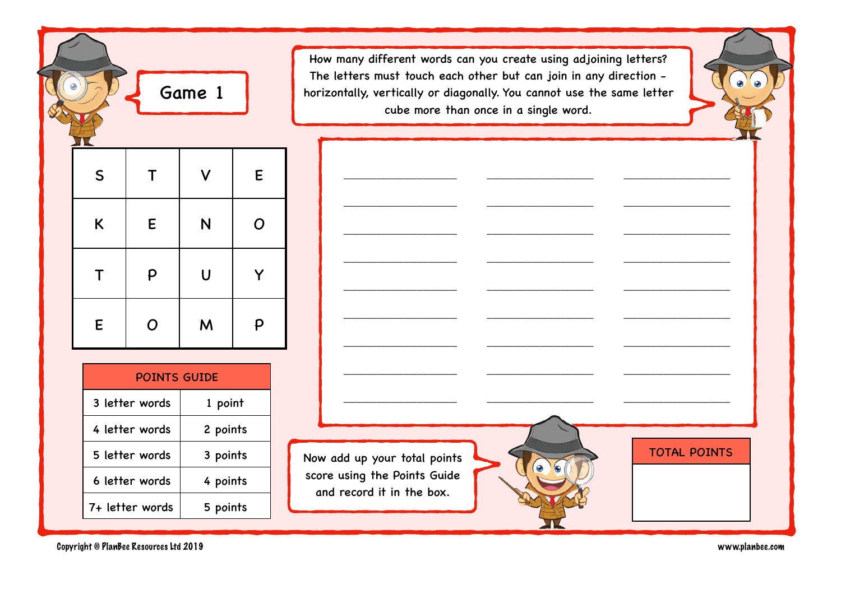|  | Q           |              | Game 1 |   |
|--|-------------|--------------|--------|---|
|  |             |              |        |   |
|  | $\mathsf S$ | $\mathsf T$  |        | E |
|  | K           | ${\sf E}$    | N      | O |
|  | T           | $\mathsf{P}$ | U      | Y |
|  | E           | O            | M      | P |

POINTS GUIDE 3 letter words | 1 point 4 letter words 2 points 5 letter words | 3 points 6 letter words  $\vert$  4 points  $7+$  letter words  $\vert$  5 points

How many different words can you create using adjoining letters? The letters must touch each other but can join in any direction horizontally, vertically or diagonally. You cannot use the same letter cube more than once in a single word.

\_\_\_\_\_\_\_\_\_\_\_\_\_\_\_\_\_ \_\_\_\_\_\_\_\_\_\_\_\_\_\_\_\_ \_\_\_\_\_\_\_\_\_\_\_\_\_\_\_\_

\_\_\_\_\_\_\_\_\_\_\_\_\_\_\_\_\_ \_\_\_\_\_\_\_\_\_\_\_\_\_\_\_\_ \_\_\_\_\_\_\_\_\_\_\_\_\_\_\_\_

\_\_\_\_\_\_\_\_\_\_\_\_\_\_\_\_\_ \_\_\_\_\_\_\_\_\_\_\_\_\_\_\_\_ \_\_\_\_\_\_\_\_\_\_\_\_\_\_\_\_

\_\_\_\_\_\_\_\_\_\_\_\_\_\_\_\_\_ \_\_\_\_\_\_\_\_\_\_\_\_\_\_\_\_ \_\_\_\_\_\_\_\_\_\_\_\_\_\_\_\_

\_\_\_\_\_\_\_\_\_\_\_\_\_\_\_\_\_ \_\_\_\_\_\_\_\_\_\_\_\_\_\_\_\_ \_\_\_\_\_\_\_\_\_\_\_\_\_\_\_\_

\_\_\_\_\_\_\_\_\_\_\_\_\_\_\_\_\_ \_\_\_\_\_\_\_\_\_\_\_\_\_\_\_\_ \_\_\_\_\_\_\_\_\_\_\_\_\_\_\_\_

\_\_\_\_\_\_\_\_\_\_\_\_\_\_\_\_\_ \_\_\_\_\_\_\_\_\_\_\_\_\_\_\_\_ \_\_\_\_\_\_\_\_\_\_\_\_\_\_\_\_

\_\_\_\_\_\_\_\_\_\_\_\_\_\_\_\_\_ \_\_\_\_\_\_\_\_\_\_\_\_\_\_\_\_ \_\_\_\_\_\_\_\_\_\_\_\_\_\_\_\_

\_\_\_\_\_\_\_\_\_\_\_\_\_\_\_\_\_ \_\_\_\_\_\_\_\_\_\_\_\_\_\_\_\_ \_\_\_\_\_\_\_\_\_\_\_\_\_\_\_\_

Now add up your total points score using the Points Guide and record it in the box.

 $\bullet$ 

TOTAL POINTS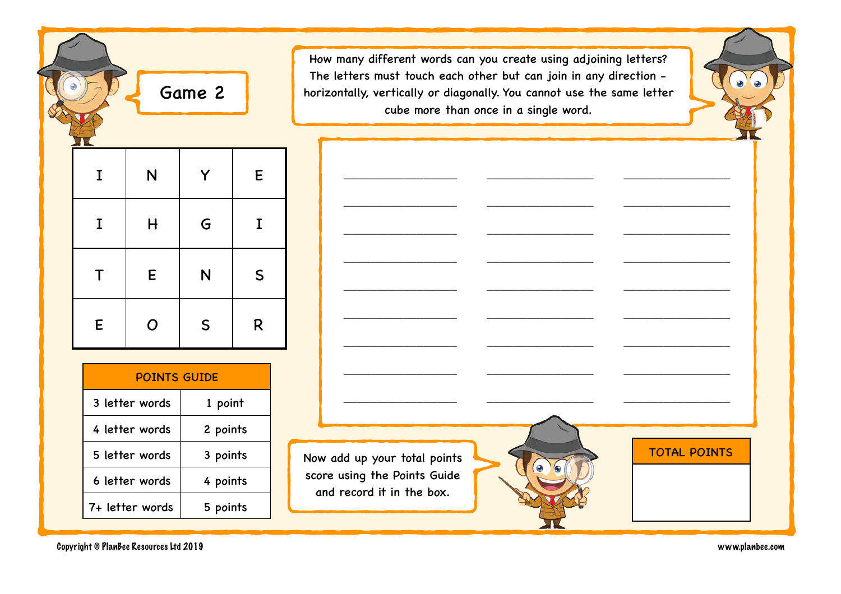|             |                | Game 2       |              |
|-------------|----------------|--------------|--------------|
| I           | N              | Υ            | E            |
| $\mathbf I$ | $\overline{H}$ | G            | I            |
| T           | E              | N            | $\mathsf{S}$ |
| E           | O              | $\mathsf{S}$ | R            |

| <b>POINTS GUIDE</b> |          |  |
|---------------------|----------|--|
| 3 letter words      | 1 point  |  |
| 4 letter words      | 2 points |  |
| 5 letter words      | 3 points |  |
| 6 letter words      | 4 points |  |
| 7+ letter words     | 5 points |  |

How many different words can you create using adjoining letters? The letters must touch each other but can join in any direction horizontally, vertically or diagonally. You cannot use the same letter cube more than once in a single word.

\_\_\_\_\_\_\_\_\_\_\_\_\_\_\_\_\_ \_\_\_\_\_\_\_\_\_\_\_\_\_\_\_\_ \_\_\_\_\_\_\_\_\_\_\_\_\_\_\_\_

\_\_\_\_\_\_\_\_\_\_\_\_\_\_\_\_\_ \_\_\_\_\_\_\_\_\_\_\_\_\_\_\_\_ \_\_\_\_\_\_\_\_\_\_\_\_\_\_\_\_

\_\_\_\_\_\_\_\_\_\_\_\_\_\_\_\_\_ \_\_\_\_\_\_\_\_\_\_\_\_\_\_\_\_ \_\_\_\_\_\_\_\_\_\_\_\_\_\_\_\_

\_\_\_\_\_\_\_\_\_\_\_\_\_\_\_\_\_ \_\_\_\_\_\_\_\_\_\_\_\_\_\_\_\_ \_\_\_\_\_\_\_\_\_\_\_\_\_\_\_\_

\_\_\_\_\_\_\_\_\_\_\_\_\_\_\_\_\_ \_\_\_\_\_\_\_\_\_\_\_\_\_\_\_\_ \_\_\_\_\_\_\_\_\_\_\_\_\_\_\_\_

\_\_\_\_\_\_\_\_\_\_\_\_\_\_\_\_\_ \_\_\_\_\_\_\_\_\_\_\_\_\_\_\_\_ \_\_\_\_\_\_\_\_\_\_\_\_\_\_\_\_

\_\_\_\_\_\_\_\_\_\_\_\_\_\_\_\_\_ \_\_\_\_\_\_\_\_\_\_\_\_\_\_\_\_ \_\_\_\_\_\_\_\_\_\_\_\_\_\_\_\_

\_\_\_\_\_\_\_\_\_\_\_\_\_\_\_\_\_ \_\_\_\_\_\_\_\_\_\_\_\_\_\_\_\_ \_\_\_\_\_\_\_\_\_\_\_\_\_\_\_\_

\_\_\_\_\_\_\_\_\_\_\_\_\_\_\_\_\_ \_\_\_\_\_\_\_\_\_\_\_\_\_\_\_\_ \_\_\_\_\_\_\_\_\_\_\_\_\_\_\_\_

Now add up your total points score using the Points Guide and record it in the box.

Copyright © PlanBee Resources Ltd 2019 www.planbee.com

TOTAL POINTS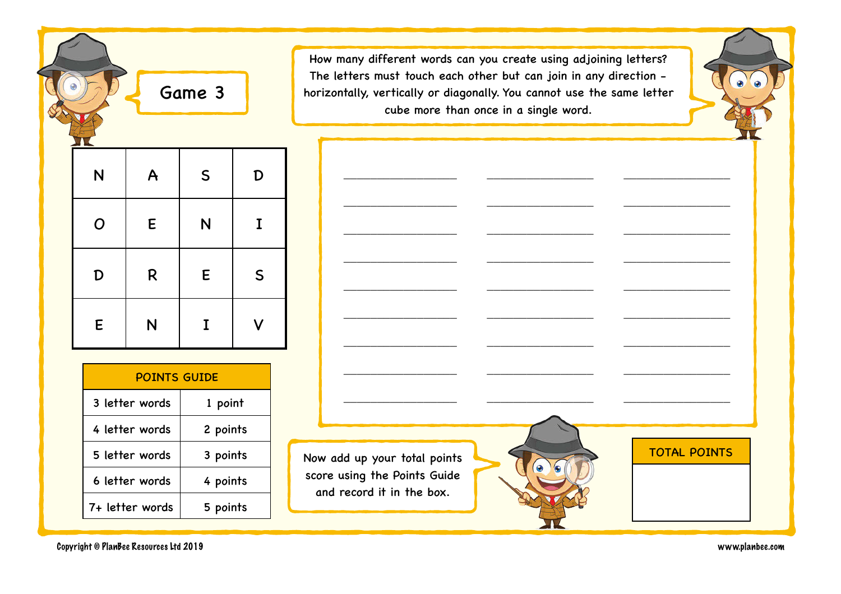|   |             | Game 3      |             |
|---|-------------|-------------|-------------|
| N | A           | $\mathsf S$ | D           |
| O | E           | N           | $\mathbf I$ |
| D | $\mathsf R$ | E           | $\mathsf S$ |
| E | N           | I           |             |

≂

| <b>POINTS GUIDE</b> |          |  |
|---------------------|----------|--|
| 3 letter words      | 1 point  |  |
| 4 letter words      | 2 points |  |
| 5 letter words      | 3 points |  |
| 6 letter words      | 4 points |  |
| 7+ letter words     | 5 points |  |

How many different words can you create using adjoining letters? The letters must touch each other but can join in any direction horizontally, vertically or diagonally. You cannot use the same letter cube more than once in a single word.

\_\_\_\_\_\_\_\_\_\_\_\_\_\_\_\_\_ \_\_\_\_\_\_\_\_\_\_\_\_\_\_\_\_ \_\_\_\_\_\_\_\_\_\_\_\_\_\_\_\_

\_\_\_\_\_\_\_\_\_\_\_\_\_\_\_\_\_ \_\_\_\_\_\_\_\_\_\_\_\_\_\_\_\_ \_\_\_\_\_\_\_\_\_\_\_\_\_\_\_\_

\_\_\_\_\_\_\_\_\_\_\_\_\_\_\_\_\_ \_\_\_\_\_\_\_\_\_\_\_\_\_\_\_\_ \_\_\_\_\_\_\_\_\_\_\_\_\_\_\_\_

\_\_\_\_\_\_\_\_\_\_\_\_\_\_\_\_\_ \_\_\_\_\_\_\_\_\_\_\_\_\_\_\_\_ \_\_\_\_\_\_\_\_\_\_\_\_\_\_\_\_

\_\_\_\_\_\_\_\_\_\_\_\_\_\_\_\_\_ \_\_\_\_\_\_\_\_\_\_\_\_\_\_\_\_ \_\_\_\_\_\_\_\_\_\_\_\_\_\_\_\_

\_\_\_\_\_\_\_\_\_\_\_\_\_\_\_\_\_ \_\_\_\_\_\_\_\_\_\_\_\_\_\_\_\_ \_\_\_\_\_\_\_\_\_\_\_\_\_\_\_\_

\_\_\_\_\_\_\_\_\_\_\_\_\_\_\_\_\_ \_\_\_\_\_\_\_\_\_\_\_\_\_\_\_\_ \_\_\_\_\_\_\_\_\_\_\_\_\_\_\_\_

\_\_\_\_\_\_\_\_\_\_\_\_\_\_\_\_\_ \_\_\_\_\_\_\_\_\_\_\_\_\_\_\_\_ \_\_\_\_\_\_\_\_\_\_\_\_\_\_\_\_

\_\_\_\_\_\_\_\_\_\_\_\_\_\_\_\_\_ \_\_\_\_\_\_\_\_\_\_\_\_\_\_\_\_ \_\_\_\_\_\_\_\_\_\_\_\_\_\_\_\_

Now add up your total points score using the Points Guide and record it in the box.





Copyright © PlanBee Resources Ltd 2019 www.planbee.com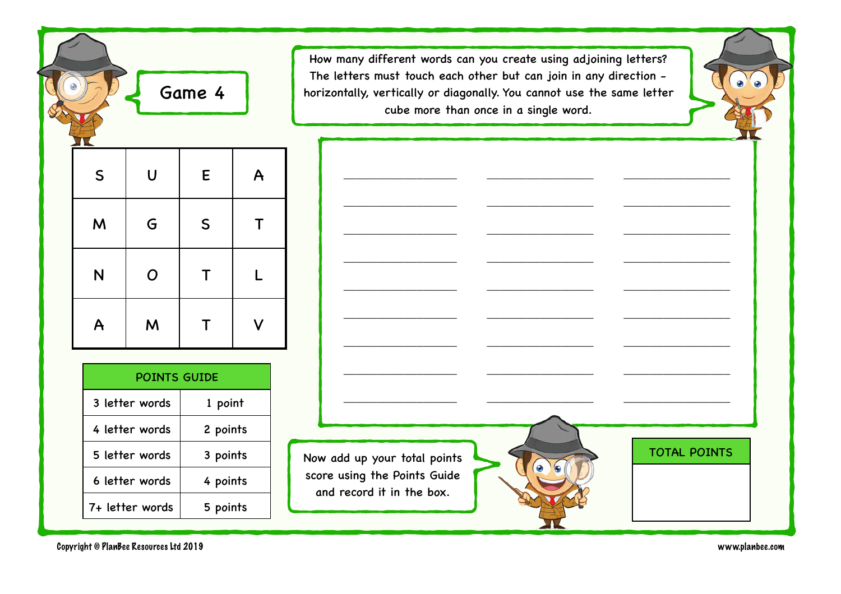|              |                | Game 4      |              |
|--------------|----------------|-------------|--------------|
| $\mathsf{S}$ | $\overline{U}$ | E           | $\mathsf{A}$ |
| M            | G              | $\mathsf S$ | Τ            |
| N            | $\overline{O}$ | $\mathsf T$ | L            |
| $\mathsf{A}$ | M              | Τ           |              |
|              |                |             |              |

| <b>POINTS GUIDE</b> |          |  |
|---------------------|----------|--|
| 3 letter words      | 1 point  |  |
| 4 letter words      | 2 points |  |
| 5 letter words      | 3 points |  |
| 6 letter words      | 4 points |  |
| 7+ letter words     | 5 points |  |

How many different words can you create using adjoining letters? The letters must touch each other but can join in any direction horizontally, vertically or diagonally. You cannot use the same letter cube more than once in a single word.

\_\_\_\_\_\_\_\_\_\_\_\_\_\_\_\_\_ \_\_\_\_\_\_\_\_\_\_\_\_\_\_\_\_ \_\_\_\_\_\_\_\_\_\_\_\_\_\_\_\_

\_\_\_\_\_\_\_\_\_\_\_\_\_\_\_\_\_ \_\_\_\_\_\_\_\_\_\_\_\_\_\_\_\_ \_\_\_\_\_\_\_\_\_\_\_\_\_\_\_\_

\_\_\_\_\_\_\_\_\_\_\_\_\_\_\_\_\_ \_\_\_\_\_\_\_\_\_\_\_\_\_\_\_\_ \_\_\_\_\_\_\_\_\_\_\_\_\_\_\_\_

\_\_\_\_\_\_\_\_\_\_\_\_\_\_\_\_\_ \_\_\_\_\_\_\_\_\_\_\_\_\_\_\_\_ \_\_\_\_\_\_\_\_\_\_\_\_\_\_\_\_

\_\_\_\_\_\_\_\_\_\_\_\_\_\_\_\_\_ \_\_\_\_\_\_\_\_\_\_\_\_\_\_\_\_ \_\_\_\_\_\_\_\_\_\_\_\_\_\_\_\_

\_\_\_\_\_\_\_\_\_\_\_\_\_\_\_\_\_ \_\_\_\_\_\_\_\_\_\_\_\_\_\_\_\_ \_\_\_\_\_\_\_\_\_\_\_\_\_\_\_\_

\_\_\_\_\_\_\_\_\_\_\_\_\_\_\_\_\_ \_\_\_\_\_\_\_\_\_\_\_\_\_\_\_\_ \_\_\_\_\_\_\_\_\_\_\_\_\_\_\_\_

Now add up your total points score using the Points Guide and record it in the box.



Copyright © PlanBee Resources Ltd 2019 www.planbee.com

 $\Delta$  $\bullet$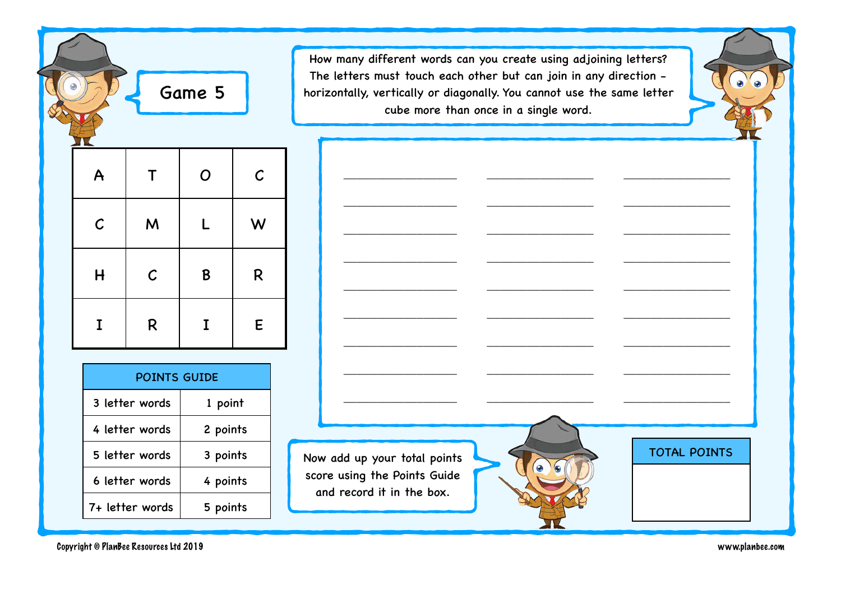|              |              | Game 5      |              |
|--------------|--------------|-------------|--------------|
| $\mathsf{A}$ | T            | $\mathbf O$ | $\mathcal C$ |
| $\mathcal C$ | M            | L           | W            |
| H            | $\mathcal C$ | B           | $\mathsf R$  |
| I            | R            | I           | ${\sf E}$    |

≂

| <b>POINTS GUIDE</b> |          |  |
|---------------------|----------|--|
| 3 letter words      | 1 point  |  |
| 4 letter words      | 2 points |  |
| 5 letter words      | 3 points |  |
| 6 letter words      | 4 points |  |
| 7+ letter words     | 5 points |  |

How many different words can you create using adjoining letters? The letters must touch each other but can join in any direction horizontally, vertically or diagonally. You cannot use the same letter cube more than once in a single word.

\_\_\_\_\_\_\_\_\_\_\_\_\_\_\_\_\_ \_\_\_\_\_\_\_\_\_\_\_\_\_\_\_\_ \_\_\_\_\_\_\_\_\_\_\_\_\_\_\_\_

\_\_\_\_\_\_\_\_\_\_\_\_\_\_\_\_\_ \_\_\_\_\_\_\_\_\_\_\_\_\_\_\_\_ \_\_\_\_\_\_\_\_\_\_\_\_\_\_\_\_

\_\_\_\_\_\_\_\_\_\_\_\_\_\_\_\_\_ \_\_\_\_\_\_\_\_\_\_\_\_\_\_\_\_ \_\_\_\_\_\_\_\_\_\_\_\_\_\_\_\_

\_\_\_\_\_\_\_\_\_\_\_\_\_\_\_\_\_ \_\_\_\_\_\_\_\_\_\_\_\_\_\_\_\_ \_\_\_\_\_\_\_\_\_\_\_\_\_\_\_\_

\_\_\_\_\_\_\_\_\_\_\_\_\_\_\_\_\_ \_\_\_\_\_\_\_\_\_\_\_\_\_\_\_\_ \_\_\_\_\_\_\_\_\_\_\_\_\_\_\_\_

\_\_\_\_\_\_\_\_\_\_\_\_\_\_\_\_\_ \_\_\_\_\_\_\_\_\_\_\_\_\_\_\_\_ \_\_\_\_\_\_\_\_\_\_\_\_\_\_\_\_

\_\_\_\_\_\_\_\_\_\_\_\_\_\_\_\_\_ \_\_\_\_\_\_\_\_\_\_\_\_\_\_\_\_ \_\_\_\_\_\_\_\_\_\_\_\_\_\_\_\_

\_\_\_\_\_\_\_\_\_\_\_\_\_\_\_\_\_ \_\_\_\_\_\_\_\_\_\_\_\_\_\_\_\_ \_\_\_\_\_\_\_\_\_\_\_\_\_\_\_\_

\_\_\_\_\_\_\_\_\_\_\_\_\_\_\_\_\_ \_\_\_\_\_\_\_\_\_\_\_\_\_\_\_\_ \_\_\_\_\_\_\_\_\_\_\_\_\_\_\_\_

Now add up your total points score using the Points Guide and record it in the box.



TOTAL POINTS

Copyright © PlanBee Resources Ltd 2019 www.planbee.com

 $\bullet$